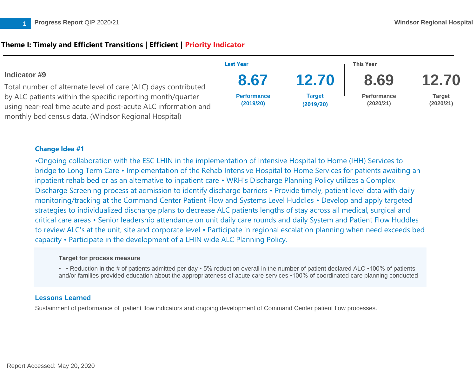# **Theme I: Timely and Efficient Transitions | Efficient | Priority Indicator**

|                                                                                                                                                                                                                                                        | <b>Last Year</b>                |                            | This Year                       |                            |
|--------------------------------------------------------------------------------------------------------------------------------------------------------------------------------------------------------------------------------------------------------|---------------------------------|----------------------------|---------------------------------|----------------------------|
| Indicator #9                                                                                                                                                                                                                                           | 8.67                            | 12.70                      | 8.69                            | 12.70                      |
| Total number of alternate level of care (ALC) days contributed<br>by ALC patients within the specific reporting month/quarter<br>using near-real time acute and post-acute ALC information and<br>monthly bed census data. (Windsor Regional Hospital) |                                 |                            |                                 |                            |
|                                                                                                                                                                                                                                                        | <b>Performance</b><br>(2019/20) | <b>Target</b><br>(2019/20) | <b>Performance</b><br>(2020/21) | <b>Target</b><br>(2020/21) |

# **Change Idea #1**

•Ongoing collaboration with the ESC LHIN in the implementation of Intensive Hospital to Home (IHH) Services to bridge to Long Term Care • Implementation of the Rehab Intensive Hospital to Home Services for patients awaiting an inpatient rehab bed or as an alternative to inpatient care • WRH's Discharge Planning Policy utilizes a Complex Discharge Screening process at admission to identify discharge barriers • Provide timely, patient level data with daily monitoring/tracking at the Command Center Patient Flow and Systems Level Huddles • Develop and apply targeted strategies to individualized discharge plans to decrease ALC patients lengths of stay across all medical, surgical and critical care areas • Senior leadership attendance on unit daily care rounds and daily System and Patient Flow Huddles to review ALC's at the unit, site and corporate level • Participate in regional escalation planning when need exceeds bed capacity • Participate in the development of a LHIN wide ALC Planning Policy.

### **Target for process measure**

• • Reduction in the # of patients admitted per day • 5% reduction overall in the number of patient declared ALC •100% of patients and/or families provided education about the appropriateness of acute care services •100% of coordinated care planning conducted

# **Lessons Learned**

Sustainment of performance of patient flow indicators and ongoing development of Command Center patient flow processes.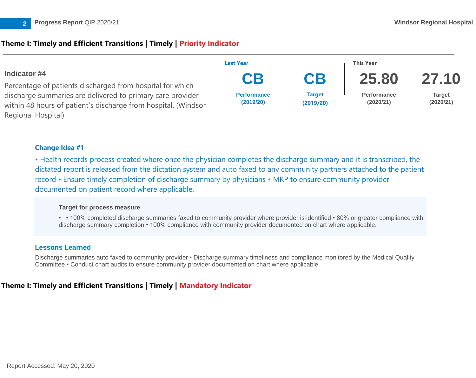# **Theme I: Timely and Efficient Transitions | Timely | Priority Indicator**



### **Change Idea #1**

• Health records process created where once the physician completes the discharge summary and it is transcribed, the dictated report is released from the dictation system and auto faxed to any community partners attached to the patient record • Ensure timely completion of discharge summary by physicians • MRP to ensure community provider documented on patient record where applicable.

### **Target for process measure**

• • 100% completed discharge summaries faxed to community provider where provider is identified • 80% or greater compliance with discharge summary completion • 100% compliance with community provider documented on chart where applicable.

# **Lessons Learned**

Discharge summaries auto faxed to community provider • Discharge summary timeliness and compliance monitored by the Medical Quality Committee • Conduct chart audits to ensure community provider documented on chart where applicable.

# **Theme I: Timely and Efficient Transitions | Timely | Mandatory Indicator**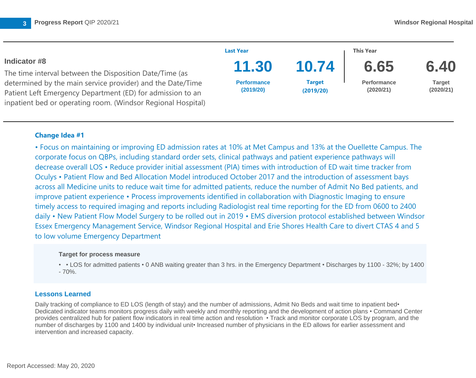

• Focus on maintaining or improving ED admission rates at 10% at Met Campus and 13% at the Ouellette Campus. The corporate focus on QBPs, including standard order sets, clinical pathways and patient experience pathways will decrease overall LOS • Reduce provider initial assessment (PIA) times with introduction of ED wait time tracker from Oculys • Patient Flow and Bed Allocation Model introduced October 2017 and the introduction of assessment bays across all Medicine units to reduce wait time for admitted patients, reduce the number of Admit No Bed patients, and improve patient experience • Process improvements identified in collaboration with Diagnostic Imaging to ensure timely access to required imaging and reports including Radiologist real time reporting for the ED from 0600 to 2400 daily • New Patient Flow Model Surgery to be rolled out in 2019 • EMS diversion protocol established between Windsor Essex Emergency Management Service, Windsor Regional Hospital and Erie Shores Health Care to divert CTAS 4 and 5 to low volume Emergency Department

#### **Target for process measure**

• • LOS for admitted patients • 0 ANB waiting greater than 3 hrs. in the Emergency Department • Discharges by 1100 - 32%; by 1400 - 70%.

### **Lessons Learned**

Daily tracking of compliance to ED LOS (length of stay) and the number of admissions, Admit No Beds and wait time to inpatient bed• Dedicated indicator teams monitors progress daily with weekly and monthly reporting and the development of action plans • Command Center provides centralized hub for patient flow indicators in real time action and resolution • Track and monitor corporate LOS by program, and the number of discharges by 1100 and 1400 by individual unit• Increased number of physicians in the ED allows for earlier assessment and intervention and increased capacity.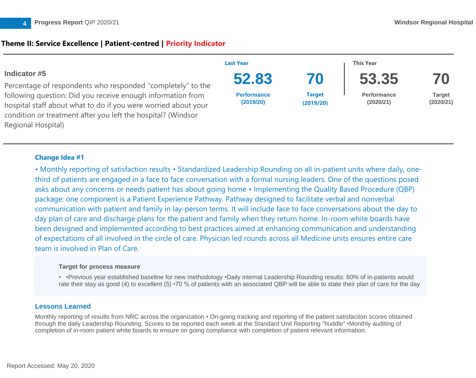# **Theme II: Service Excellence | Patient-centred | Priority Indicator**

|                                                                                                                                                                                                                     | <b>Last Year</b>                |                            | <b>This Year</b>                |                            |
|---------------------------------------------------------------------------------------------------------------------------------------------------------------------------------------------------------------------|---------------------------------|----------------------------|---------------------------------|----------------------------|
| Indicator #5                                                                                                                                                                                                        | 52.83                           | 70                         | 53.35                           | 70                         |
| Percentage of respondents who responded "completely" to the                                                                                                                                                         |                                 |                            |                                 |                            |
| following question: Did you receive enough information from<br>hospital staff about what to do if you were worried about your<br>condition or treatment after you left the hospital? (Windsor<br>Regional Hospital) | <b>Performance</b><br>(2019/20) | <b>Target</b><br>(2019/20) | <b>Performance</b><br>(2020/21) | <b>Target</b><br>(2020/21) |

### **Change Idea #1**

• Monthly reporting of satisfaction results • Standardized Leadership Rounding on all in-patient units where daily, onethird of patients are engaged in a face to face conversation with a formal nursing leaders. One of the questions posed asks about any concerns or needs patient has about going home • Implementing the Quality Based Procedure (QBP) package: one component is a Patient Experience Pathway. Pathway designed to facilitate verbal and nonverbal communication with patient and family in lay-person terms. It will include face to face conversations about the day to day plan of care and discharge plans for the patient and family when they return home. In-room white boards have been designed and implemented according to best practices aimed at enhancing communication and understanding of expectations of all involved in the circle of care. Physician led rounds across all Medicine units ensures entire care team is involved in Plan of Care.

### **Target for process measure**

• •Previous year established baseline for new methodology •Daily internal Leadership Rounding results: 60% of in-patients would rate their stay as good (4) to excellent (5) •70 % of patients with an associated QBP will be able to state their plan of care for the day

# **Lessons Learned**

Monthly reporting of results from NRC across the organization • On-going tracking and reporting of the patient satisfaction scores obtained through the daily Leadership Rounding. Scores to be reported each week at the Standard Unit Reporting "huddle" •Monthly auditing of completion of in-room patient white boards to ensure on going compliance with completion of patient relevant information.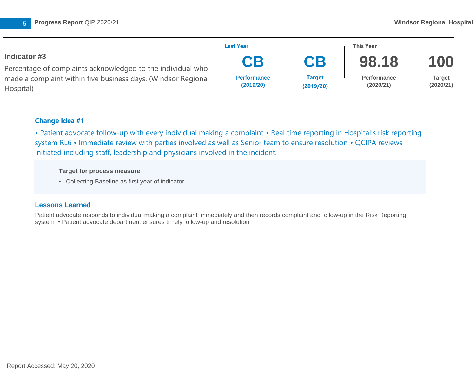

|                                                                            | <b>Last Year</b>                |                            | <b>This Year</b>                |                     |
|----------------------------------------------------------------------------|---------------------------------|----------------------------|---------------------------------|---------------------|
| Indicator #3                                                               | CB                              | CB                         | 98.18                           | 100                 |
| Percentage of complaints acknowledged to the individual who                |                                 |                            |                                 |                     |
| made a complaint within five business days. (Windsor Regional<br>Hospital) | <b>Performance</b><br>(2019/20) | <b>Target</b><br>(2019/20) | <b>Performance</b><br>(2020/21) | Target<br>(2020/21) |

• Patient advocate follow-up with every individual making a complaint • Real time reporting in Hospital's risk reporting system RL6 • Immediate review with parties involved as well as Senior team to ensure resolution • QCIPA reviews initiated including staff, leadership and physicians involved in the incident.

### **Target for process measure**

• Collecting Baseline as first year of indicator

# **Lessons Learned**

Patient advocate responds to individual making a complaint immediately and then records complaint and follow-up in the Risk Reporting system • Patient advocate department ensures timely follow-up and resolution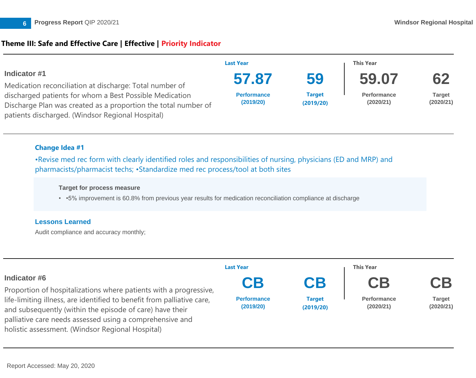

# **Theme III: Safe and Effective Care | Effective | Priority Indicator**

|                                                                                                                                                                                                      | <b>Last Year</b>                         |                                  | This Year                                |                                  |
|------------------------------------------------------------------------------------------------------------------------------------------------------------------------------------------------------|------------------------------------------|----------------------------------|------------------------------------------|----------------------------------|
| Indicator #1<br>Medication reconciliation at discharge: Total number of<br>discharged patients for whom a Best Possible Medication<br>Discharge Plan was created as a proportion the total number of | 57.87<br><b>Performance</b><br>(2019/20) | 59<br><b>Target</b><br>(2019/20) | 59.07<br><b>Performance</b><br>(2020/21) | 62<br><b>Target</b><br>(2020/21) |
| patients discharged. (Windsor Regional Hospital)                                                                                                                                                     |                                          |                                  |                                          |                                  |

### **Change Idea #1**

•Revise med rec form with clearly identified roles and responsibilities of nursing, physicians (ED and MRP) and pharmacists/pharmacist techs; •Standardize med rec process/tool at both sites

#### **Target for process measure**

• •5% improvement is 60.8% from previous year results for medication reconciliation compliance at discharge

### **Lessons Learned**

Audit compliance and accuracy monthly;

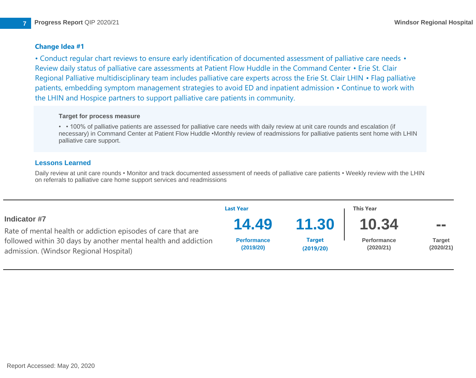• Conduct regular chart reviews to ensure early identification of documented assessment of palliative care needs • Review daily status of palliative care assessments at Patient Flow Huddle in the Command Center • Erie St. Clair Regional Palliative multidisciplinary team includes palliative care experts across the Erie St. Clair LHIN • Flag palliative patients, embedding symptom management strategies to avoid ED and inpatient admission • Continue to work with the LHIN and Hospice partners to support palliative care patients in community.

### **Target for process measure**

• • 100% of palliative patients are assessed for palliative care needs with daily review at unit care rounds and escalation (if necessary) in Command Center at Patient Flow Huddle •Monthly review of readmissions for palliative patients sent home with LHIN palliative care support.

### **Lessons Learned**

Daily review at unit care rounds • Monitor and track documented assessment of needs of palliative care patients • Weekly review with the LHIN on referrals to palliative care home support services and readmissions

|                                                                                                                                                                          | <b>Last Year</b>                |                            | <b>This Year</b>                |                            |  |
|--------------------------------------------------------------------------------------------------------------------------------------------------------------------------|---------------------------------|----------------------------|---------------------------------|----------------------------|--|
| <b>Indicator #7</b>                                                                                                                                                      | 14.49                           | 11.30                      | 10.34                           | <b>The Co</b>              |  |
| Rate of mental health or addiction episodes of care that are<br>followed within 30 days by another mental health and addiction<br>admission. (Windsor Regional Hospital) | <b>Performance</b><br>(2019/20) | <b>Target</b><br>(2019/20) | <b>Performance</b><br>(2020/21) | <b>Target</b><br>(2020/21) |  |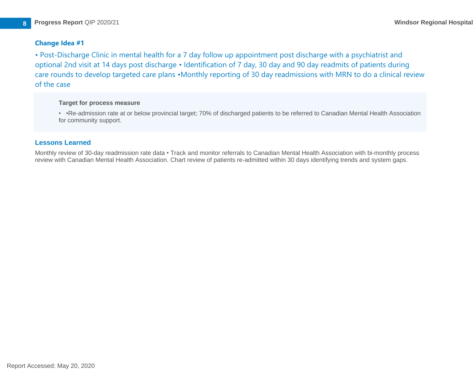• Post-Discharge Clinic in mental health for a 7 day follow up appointment post discharge with a psychiatrist and optional 2nd visit at 14 days post discharge • Identification of 7 day, 30 day and 90 day readmits of patients during care rounds to develop targeted care plans •Monthly reporting of 30 day readmissions with MRN to do a clinical review of the case

#### **Target for process measure**

• •Re-admission rate at or below provincial target; 70% of discharged patients to be referred to Canadian Mental Health Association for community support.

### **Lessons Learned**

Monthly review of 30-day readmission rate data • Track and monitor referrals to Canadian Mental Health Association with bi-monthly process review with Canadian Mental Health Association. Chart review of patients re-admitted within 30 days identifying trends and system gaps.